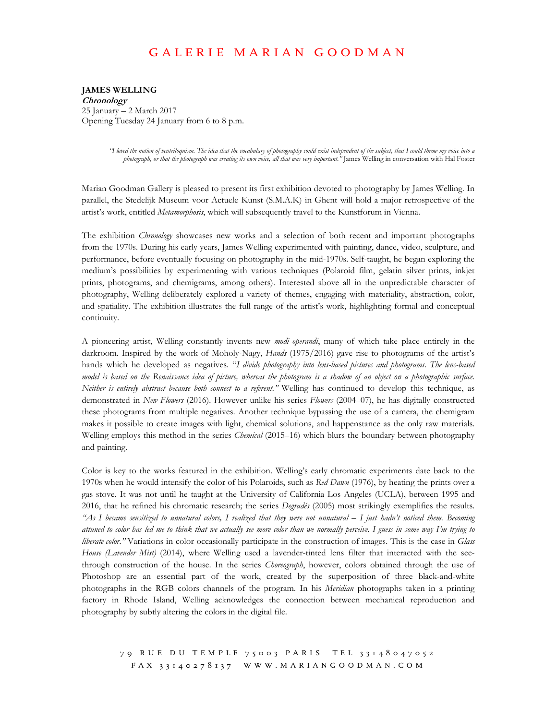## G A L E R I E M A R I A N G O O D M A N

 **JAMES WELLING**  25 January – 2 March 2017 Opening Tuesday 24 January from 6 to 8 p.m. **Chronology** 

> *"I loved the notion of ventriloquism. The idea that the vocabulary of photography could exist independent of the subject, that I could throw my voice into a photograph, or that the photograph was creating its own voice, all that was very important."* James Welling in conversation with Hal Foster

 Marian Goodman Gallery is pleased to present its first exhibition devoted to photography by James Welling. In parallel, the Stedelijk Museum voor Actuele Kunst (S.M.A.K) in Ghent will hold a major retrospective of the artist's work, entitled *Metamorphosis*, which will subsequently travel to the Kunstforum in Vienna.

 The exhibition *Chronology* showcases new works and a selection of both recent and important photographs from the 1970s. During his early years, James Welling experimented with painting, dance, video, sculpture, and performance, before eventually focusing on photography in the mid-1970s. Self-taught, he began exploring the medium's possibilities by experimenting with various techniques (Polaroid film, gelatin silver prints, inkjet prints, photograms, and chemigrams, among others). Interested above all in the unpredictable character of photography, Welling deliberately explored a variety of themes, engaging with materiality, abstraction, color, and spatiality. The exhibition illustrates the full range of the artist's work, highlighting formal and conceptual continuity.

 A pioneering artist, Welling constantly invents new *modi operandi*, many of which take place entirely in the darkroom. Inspired by the work of Moholy-Nagy, *Hands* (1975/2016) gave rise to photograms of the artist's hands which he developed as negatives. "*I divide photography into lens-based pictures and photograms. The lens-based model is based on the Renaissance idea of picture, whereas the photogram is a shadow of an object on a photographic surface. Neither is entirely abstract because both connect to a referent."* Welling has continued to develop this technique, as demonstrated in *New Flowers* (2016). However unlike his series *Flowers* (2004–07), he has digitally constructed these photograms from multiple negatives. Another technique bypassing the use of a camera, the chemigram makes it possible to create images with light, chemical solutions, and happenstance as the only raw materials. Welling employs this method in the series *Chemical* (2015–16) which blurs the boundary between photography and painting.

 Color is key to the works featured in the exhibition. Welling's early chromatic experiments date back to the 1970s when he would intensify the color of his Polaroids, such as *Red Dawn* (1976), by heating the prints over a gas stove. It was not until he taught at the University of California Los Angeles (UCLA), between 1995 and 2016, that he refined his chromatic research; the series *Degradés* (2005) most strikingly exemplifies the results.  *"As I became sensitized to unnatural colors, I realized that they were not unnatural – I just hadn't noticed them. Becoming attuned to color has led me to think that we actually see more color than we normally perceive. I guess in some way I'm trying to liberate color."* Variations in color occasionally participate in the construction of images. This is the case in *Glass*  House (Lavender Mist) (2014), where Welling used a lavender-tinted lens filter that interacted with the see- through construction of the house. In the series *Choreograph*, however, colors obtained through the use of Photoshop are an essential part of the work, created by the superposition of three black-and-white photographs in the RGB colors channels of the program. In his *Meridian* photographs taken in a printing factory in Rhode Island, Welling acknowledges the connection between mechanical reproduction and photography by subtly altering the colors in the digital file.

79 RUE DU TEMPLE 75003 PARIS TEL 33148047052 F A X 3 3 1 4 0 2 7 8 1 3 7 [W W W . M A R I A N G O O D M A N . C O M](WWW.MARIANGOODMAN.COM)